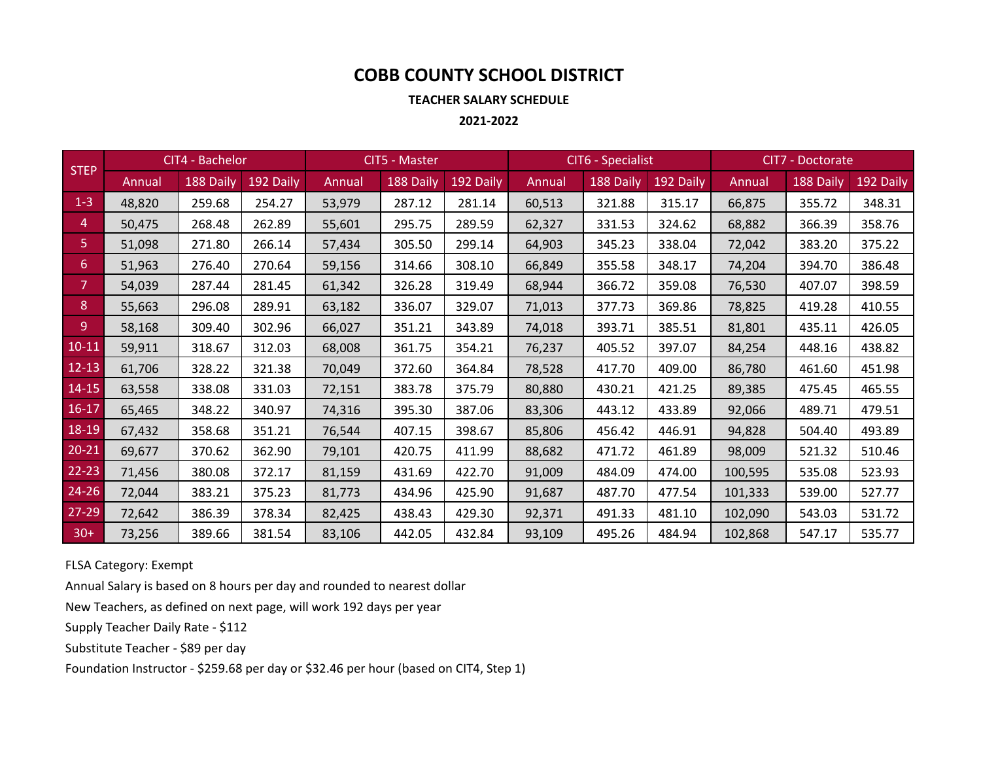# **COBB COUNTY SCHOOL DISTRICT**

**TEACHER SALARY SCHEDULE**

**2021‐2022**

| <b>STEP</b> | CIT4 - Bachelor |           |           | <b>CIT5 - Master</b> |           |           | CIT6 - Specialist |           |           | CIT7 - Doctorate |           |           |
|-------------|-----------------|-----------|-----------|----------------------|-----------|-----------|-------------------|-----------|-----------|------------------|-----------|-----------|
|             | Annual          | 188 Daily | 192 Daily | Annual               | 188 Daily | 192 Daily | Annual            | 188 Daily | 192 Daily | Annual           | 188 Daily | 192 Daily |
| $1 - 3$     | 48,820          | 259.68    | 254.27    | 53,979               | 287.12    | 281.14    | 60,513            | 321.88    | 315.17    | 66,875           | 355.72    | 348.31    |
| 4           | 50,475          | 268.48    | 262.89    | 55,601               | 295.75    | 289.59    | 62,327            | 331.53    | 324.62    | 68,882           | 366.39    | 358.76    |
| 5.          | 51,098          | 271.80    | 266.14    | 57,434               | 305.50    | 299.14    | 64,903            | 345.23    | 338.04    | 72,042           | 383.20    | 375.22    |
| 6           | 51,963          | 276.40    | 270.64    | 59,156               | 314.66    | 308.10    | 66,849            | 355.58    | 348.17    | 74,204           | 394.70    | 386.48    |
| 7           | 54,039          | 287.44    | 281.45    | 61,342               | 326.28    | 319.49    | 68,944            | 366.72    | 359.08    | 76,530           | 407.07    | 398.59    |
| 8           | 55,663          | 296.08    | 289.91    | 63,182               | 336.07    | 329.07    | 71,013            | 377.73    | 369.86    | 78,825           | 419.28    | 410.55    |
| 9           | 58,168          | 309.40    | 302.96    | 66,027               | 351.21    | 343.89    | 74,018            | 393.71    | 385.51    | 81,801           | 435.11    | 426.05    |
| $10 - 11$   | 59,911          | 318.67    | 312.03    | 68,008               | 361.75    | 354.21    | 76,237            | 405.52    | 397.07    | 84,254           | 448.16    | 438.82    |
| $12 - 13$   | 61,706          | 328.22    | 321.38    | 70,049               | 372.60    | 364.84    | 78,528            | 417.70    | 409.00    | 86,780           | 461.60    | 451.98    |
| $14 - 15$   | 63,558          | 338.08    | 331.03    | 72,151               | 383.78    | 375.79    | 80,880            | 430.21    | 421.25    | 89,385           | 475.45    | 465.55    |
| $16 - 17$   | 65,465          | 348.22    | 340.97    | 74,316               | 395.30    | 387.06    | 83,306            | 443.12    | 433.89    | 92,066           | 489.71    | 479.51    |
| 18-19       | 67,432          | 358.68    | 351.21    | 76,544               | 407.15    | 398.67    | 85,806            | 456.42    | 446.91    | 94,828           | 504.40    | 493.89    |
| $20 - 21$   | 69,677          | 370.62    | 362.90    | 79,101               | 420.75    | 411.99    | 88,682            | 471.72    | 461.89    | 98,009           | 521.32    | 510.46    |
| $22 - 23$   | 71,456          | 380.08    | 372.17    | 81,159               | 431.69    | 422.70    | 91,009            | 484.09    | 474.00    | 100,595          | 535.08    | 523.93    |
| $24 - 26$   | 72,044          | 383.21    | 375.23    | 81,773               | 434.96    | 425.90    | 91,687            | 487.70    | 477.54    | 101,333          | 539.00    | 527.77    |
| $27 - 29$   | 72,642          | 386.39    | 378.34    | 82,425               | 438.43    | 429.30    | 92,371            | 491.33    | 481.10    | 102,090          | 543.03    | 531.72    |
| $30+$       | 73,256          | 389.66    | 381.54    | 83,106               | 442.05    | 432.84    | 93,109            | 495.26    | 484.94    | 102,868          | 547.17    | 535.77    |

FLSA Category: Exempt

Annual Salary is based on 8 hours per day and rounded to nearest dollar

New Teachers, as defined on next page, will work 192 days per year

Supply Teacher Daily Rate ‐ \$112

Substitute Teacher ‐ \$89 per day

Foundation Instructor ‐ \$259.68 per day or \$32.46 per hour (based on CIT4, Step 1)